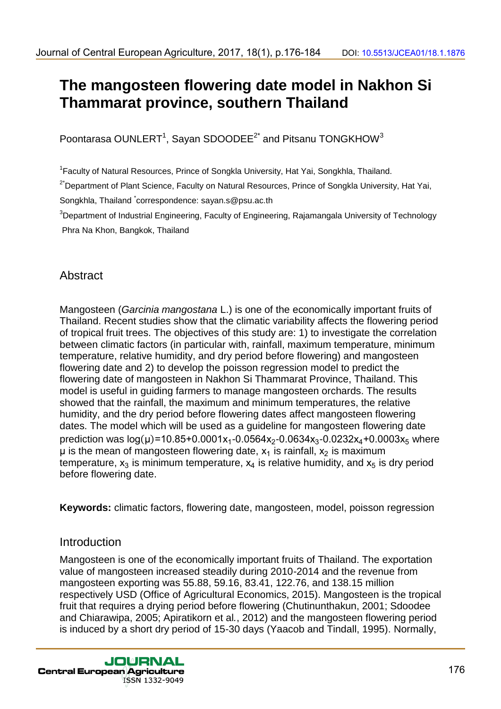# **The mangosteen flowering date model in Nakhon Si Thammarat province, southern Thailand**

Poontarasa OUNLERT $^{\mathsf{1}}$ , Sayan SDOODEE $^{2^{\star}}$  and Pitsanu TONGKHOW $^{\mathsf{3}}$ 

<sup>1</sup> Faculty of Natural Resources, Prince of Songkla University, Hat Yai, Songkhla, Thailand.

<sup>2\*</sup>Department of Plant Science, Faculty on Natural Resources, Prince of Songkla University, Hat Yai,

Songkhla, Thailand <sup>\*</sup>correspondence: sayan.s@psu.ac.th

<sup>3</sup>Department of Industrial Engineering, Faculty of Engineering, Rajamangala University of Technology Phra Na Khon, Bangkok, Thailand

# Abstract

Mangosteen (*Garcinia mangostana* L.) is one of the economically important fruits of Thailand. Recent studies show that the climatic variability affects the flowering period of tropical fruit trees. The objectives of this study are: 1) to investigate the correlation between climatic factors (in particular with, rainfall, maximum temperature, minimum temperature, relative humidity, and dry period before flowering) and mangosteen flowering date and 2) to develop the poisson regression model to predict the flowering date of mangosteen in Nakhon Si Thammarat Province, Thailand. This model is useful in guiding farmers to manage mangosteen orchards. The results showed that the rainfall, the maximum and minimum temperatures, the relative humidity, and the dry period before flowering dates affect mangosteen flowering dates. The model which will be used as a guideline for mangosteen flowering date prediction was log(µ)=10.85+0.0001x<sub>1</sub>-0.0564x<sub>2</sub>-0.0634x<sub>3</sub>-0.0232x<sub>4</sub>+0.0003x<sub>5</sub> where  $\mu$  is the mean of mangosteen flowering date,  $x_1$  is rainfall,  $x_2$  is maximum temperature,  $x_3$  is minimum temperature,  $x_4$  is relative humidity, and  $x_5$  is dry period before flowering date. dounal of Central European Agriculture, 2017, 18(1), p.176-184<br>
1991. Users and Central European Agriculture, southern Thailland<br>
Poonlarses OUNLERT, Sayan SDOODEE<sup>2</sup> and Pisanu TONGKHOW<sup>3</sup><br>
1991. The main general of Centr

**Keywords:** climatic factors, flowering date, mangosteen, model, poisson regression

# Introduction

Mangosteen is one of the economically important fruits of Thailand. The exportation value of mangosteen increased steadily during 2010-2014 and the revenue from mangosteen exporting was 55.88, 59.16, 83.41, 122.76, and 138.15 million respectively USD (Office of Agricultural Economics, 2015). Mangosteen is the tropical fruit that requires a drying period before flowering (Chutinunthakun, 2001; Sdoodee and Chiarawipa, 2005; Apiratikorn et al*.*, 2012) and the mangosteen flowering period is induced by a short dry period of 15-30 days (Yaacob and Tindall, 1995). Normally,

ISSN 1332-9049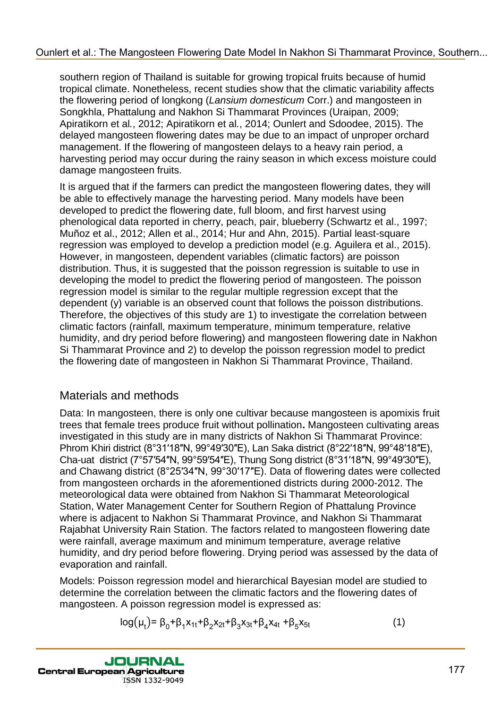### [Ounlert et al.: The Mangosteen Flowering Date Model In Nakhon Si Thammarat Province, Southern...](http://jcea.agr.hr/volumes.php?search=Article%3A1876)

southern region of Thailand is suitable for growing tropical fruits because of humid tropical climate. Nonetheless, recent studies show that the climatic variability affects the flowering period of longkong (*Lansium domesticum* Corr.) and mangosteen in Songkhla, Phattalung and Nakhon Si Thammarat Provinces (Uraipan, 2009; Apiratikorn et al*.*, 2012; Apiratikorn et al*.*, 2014; Ounlert and Sdoodee, 2015). The delayed mangosteen flowering dates may be due to an impact of unproper orchard management. If the flowering of mangosteen delays to a heavy rain period, a harvesting period may occur during the rainy season in which excess moisture could damage mangosteen fruits.

It is argued that if the farmers can predict the mangosteen flowering dates, they will be able to effectively manage the harvesting period. Many models have been developed to predict the flowering date, full bloom, and first harvest using phenological data reported in cherry, peach, pair, blueberry (Schwartz et al., 1997; Muñoz et al., 2012; Allen et al., 2014; Hur and Ahn, 2015). Partial least-square regression was employed to develop a prediction model (e.g. Aguilera et al., 2015). However, in mangosteen, dependent variables (climatic factors) are poisson distribution. Thus, it is suggested that the poisson regression is suitable to use in developing the model to predict the flowering period of mangosteen. The poisson regression model is similar to the regular multiple regression except that the dependent (y) variable is an observed count that follows the poisson distributions. Therefore, the objectives of this study are 1) to investigate the correlation between climatic factors (rainfall, maximum temperature, minimum temperature, relative humidity, and dry period before flowering) and mangosteen flowering date in Nakhon Si Thammarat Province and 2) to develop the poisson regression model to predict the flowering date of mangosteen in Nakhon Si Thammarat Province, Thailand. Duriert et al.: The Mangosteen Flowering Date Model In Nakhon Si Thammarat Province. Southern.<br>
Incording Date Model Incore and the Mangosteen Flowering Date Model Incore and the Model Incore and the Model Incore and Nakho

# Materials and methods

Data: In mangosteen, there is only one cultivar because mangosteen is apomixis fruit trees that female trees produce fruit without pollination**.** Mangosteen cultivating areas investigated in this study are in many districts of Nakhon Si Thammarat Province: Phrom Khiri district (8°31'18"N, 99°49'30"E), Lan Saka district (8°22'18"N, 99°48'18"E), Cha-uat district ( $7^{\circ}57'54''N$ ,  $99^{\circ}59'54''E$ ), Thung Song district ( $8^{\circ}31'18''N$ ,  $99^{\circ}49'30''E$ ), and Chawang district ( $8^{\circ}25'34''N$ ,  $99^{\circ}30'17''E$ ). Data of flowering dates were collected from mangosteen orchards in the aforementioned districts during 2000-2012. The meteorological data were obtained from Nakhon Si Thammarat Meteorological Station, Water Management Center for Southern Region of Phattalung Province where is adjacent to Nakhon Si Thammarat Province, and Nakhon Si Thammarat Rajabhat University Rain Station. The factors related to mangosteen flowering date were rainfall, average maximum and minimum temperature, average relative humidity, and dry period before flowering. Drying period was assessed by the data of evaporation and rainfall.

Models: Poisson regression model and hierarchical Bayesian model are studied to determine the correlation between the climatic factors and the flowering dates of mangosteen. A poisson regression model is expressed as:

$$
log(\mu_t) = \beta_0 + \beta_1 x_{1t} + \beta_2 x_{2t} + \beta_3 x_{3t} + \beta_4 x_{4t} + \beta_5 x_{5t}
$$
 (1)

ISSN 1332-9049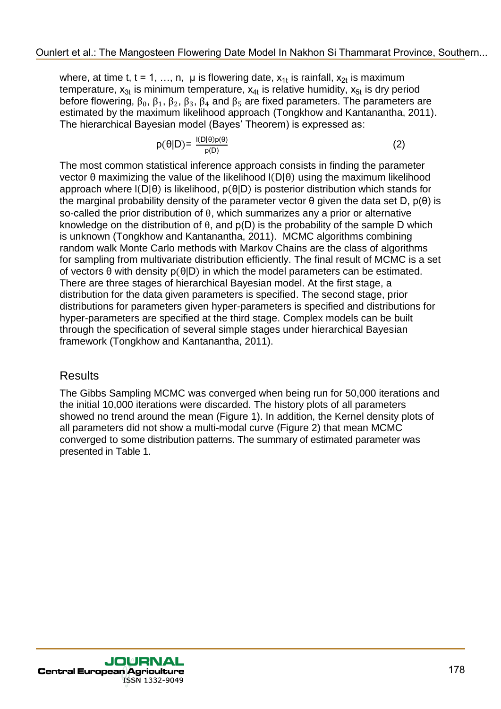where, at time t, t = 1, ..., n,  $\mu$  is flowering date,  $x_{1t}$  is rainfall,  $x_{2t}$  is maximum temperature,  $x_{3t}$  is minimum temperature,  $x_{4t}$  is relative humidity,  $x_{5t}$  is dry period before flowering,  $\beta_0$ ,  $\beta_1$ ,  $\beta_2$ ,  $\beta_3$ ,  $\beta_4$  and  $\beta_5$  are fixed parameters. The parameters are estimated by the maximum likelihood approach (Tongkhow and Kantanantha, 2011). The hierarchical Bayesian model (Bayes' Theorem) is expressed as:

$$
p(\theta|D) = \frac{I(D|\theta)p(\theta)}{p(D)}
$$
 (2)

The most common statistical inference approach consists in finding the parameter vector  $\theta$  maximizing the value of the likelihood  $I(D|\theta)$  using the maximum likelihood approach where  $I(D|\theta)$  is likelihood,  $p(\theta|D)$  is posterior distribution which stands for the marginal probability density of the parameter vector  $\theta$  given the data set D,  $p(\theta)$  is so-called the prior distribution of  $\theta$ , which summarizes any a prior or alternative knowledge on the distribution of  $\theta$ , and  $p(D)$  is the probability of the sample D which is unknown (Tongkhow and Kantanantha, 2011). MCMC algorithms combining random walk Monte Carlo methods with Markov Chains are the class of algorithms for sampling from multivariate distribution efficiently. The final result of MCMC is a set of vectors  $\theta$  with density  $p(\theta|D)$  in which the model parameters can be estimated. There are three stages of hierarchical Bayesian model. At the first stage, a distribution for the data given parameters is specified. The second stage, prior distributions for parameters given hyper-parameters is specified and distributions for hyper-parameters are specified at the third stage. Complex models can be built through the specification of several simple stages under hierarchical Bayesian framework (Tongkhow and Kantanantha, 2011). Duriert et al.: The Mangosteen Flowering Model In Nakhon Si Thammarat Province, Southern.<br>
Where the manner of the manner of the Mangosteen Flowering Date Model In Nakhon Si Thammarat Province Si The Model Interaction of

# **Results**

The Gibbs Sampling MCMC was converged when being run for 50,000 iterations and the initial 10,000 iterations were discarded. The history plots of all parameters showed no trend around the mean (Figure 1). In addition, the Kernel density plots of all parameters did not show a multi-modal curve (Figure 2) that mean MCMC converged to some distribution patterns. The summary of estimated parameter was presented in Table 1.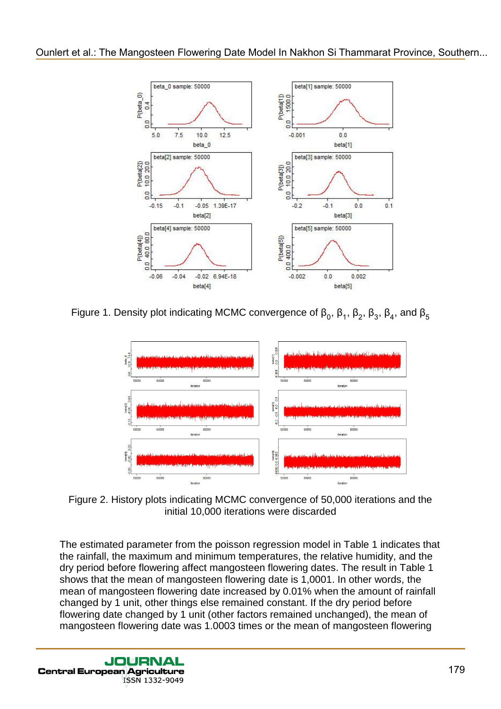

Figure 1. Density plot indicating MCMC convergence of  $\beta_0$ ,  $\beta_1$ ,  $\beta_2$ ,  $\beta_3$ ,  $\beta_4$ , and



Figure 2. History plots indicating MCMC convergence of 50,000 iterations and the initial 10,000 iterations were discarded

The estimated parameter from the poisson regression model in Table 1 indicates that the rainfall, the maximum and minimum temperatures, the relative humidity, and the dry period before flowering affect mangosteen flowering dates. The result in Table 1 shows that the mean of mangosteen flowering date is 1,0001. In other words, the mean of mangosteen flowering date increased by 0.01% when the amount of rainfall changed by 1 unit, other things else remained constant. If the dry period before flowering date changed by 1 unit (other factors remained unchanged), the mean of mangosteen flowering date was 1.0003 times or the mean of mangosteen flowering

ISSN 1332-9049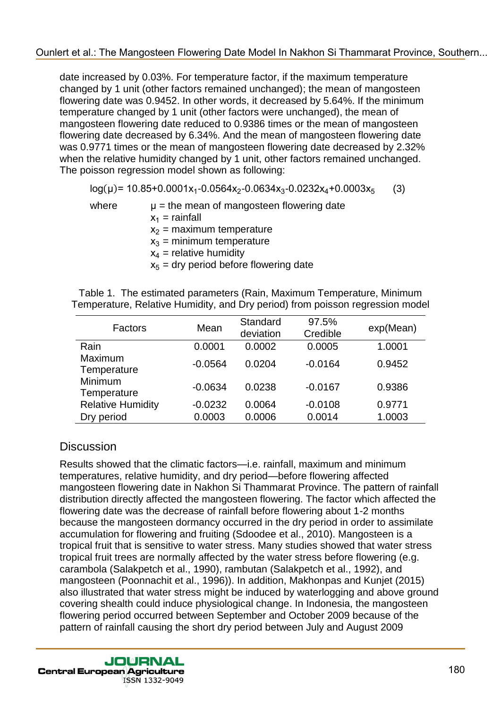date increased by 0.03%. For temperature factor, if the maximum temperature changed by 1 unit (other factors remained unchanged); the mean of mangosteen flowering date was 0.9452. In other words, it decreased by 5.64%. If the minimum temperature changed by 1 unit (other factors were unchanged), the mean of mangosteen flowering date reduced to 0.9386 times or the mean of mangosteen flowering date decreased by 6.34%. And the mean of mangosteen flowering date was 0.9771 times or the mean of mangosteen flowering date decreased by 2.32% when the relative humidity changed by 1 unit, other factors remained unchanged. The poisson regression model shown as following:

 $log(\mu)$ = 10.85+0.0001x<sub>1</sub>-0.0564x<sub>2</sub>-0.0634x<sub>3</sub>-0 (3)

where  $\mu =$  the mean of mangosteen flowering date  $x_1$  = rainfall  $x_2$  = maximum temperature  $x_3$  = minimum temperature  $x_4$  = relative humidity  $x<sub>5</sub>$  = dry period before flowering date

Table 1. The estimated parameters (Rain, Maximum Temperature, Minimum Temperature, Relative Humidity, and Dry period) from poisson regression model

| Factors                  | Mean      | Standard<br>deviation | 97.5%<br>Credible | exp(Mean) |
|--------------------------|-----------|-----------------------|-------------------|-----------|
| Rain                     | 0.0001    | 0.0002                | 0.0005            | 1.0001    |
| Maximum<br>Temperature   | $-0.0564$ | 0.0204                | $-0.0164$         | 0.9452    |
| Minimum<br>Temperature   | $-0.0634$ | 0.0238                | $-0.0167$         | 0.9386    |
| <b>Relative Humidity</b> | $-0.0232$ | 0.0064                | $-0.0108$         | 0.9771    |
| Dry period               | 0.0003    | 0.0006                | 0.0014            | 1.0003    |

# **Discussion**

Results showed that the climatic factors—i.e. rainfall, maximum and minimum temperatures, relative humidity, and dry period—before flowering affected mangosteen flowering date in Nakhon Si Thammarat Province. The pattern of rainfall distribution directly affected the mangosteen flowering. The factor which affected the flowering date was the decrease of rainfall before flowering about 1-2 months because the mangosteen dormancy occurred in the dry period in order to assimilate accumulation for flowering and fruiting (Sdoodee et al., 2010). Mangosteen is a tropical fruit that is sensitive to water stress. Many studies showed that water stress tropical fruit trees are normally affected by the water stress before flowering (e.g. carambola (Salakpetch et al., 1990), rambutan (Salakpetch et al., 1992), and mangosteen (Poonnachit et al., 1996)). In addition, Makhonpas and Kunjet (2015) also illustrated that water stress might be induced by waterlogging and above ground covering shealth could induce physiological change. In Indonesia, the mangosteen flowering period occurred between September and October 2009 because of the pattern of rainfall causing the short dry period between July and August 2009 00mlert et al.: The Mangosteen Flowering Date Model In Nakhon Si Thammarat Province, Southern.<br>
denoted by Luni (other factors are not more than the mangolary control of the most of monodology of the most of monodology of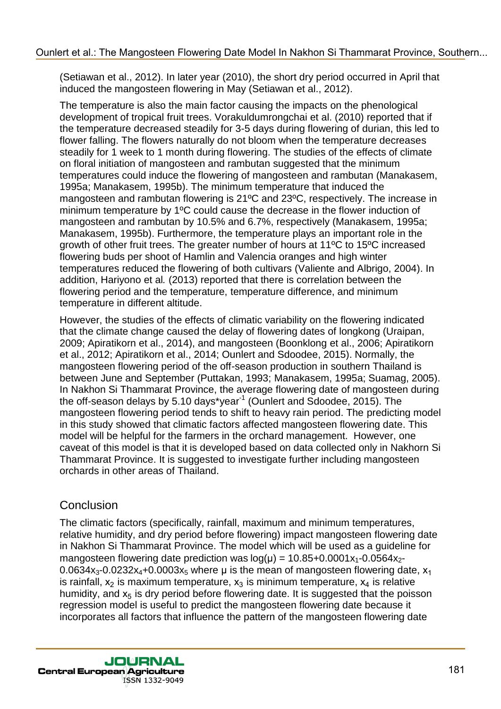(Setiawan et al., 2012). In later year (2010), the short dry period occurred in April that induced the mangosteen flowering in May (Setiawan et al., 2012).

The temperature is also the main factor causing the impacts on the phenological development of tropical fruit trees. Vorakuldumrongchai et al. (2010) reported that if the temperature decreased steadily for 3-5 days during flowering of durian, this led to flower falling. The flowers naturally do not bloom when the temperature decreases steadily for 1 week to 1 month during flowering. The studies of the effects of climate on floral initiation of mangosteen and rambutan suggested that the minimum temperatures could induce the flowering of mangosteen and rambutan (Manakasem, 1995a; Manakasem, 1995b). The minimum temperature that induced the mangosteen and rambutan flowering is 21ºC and 23ºC, respectively. The increase in minimum temperature by 1ºC could cause the decrease in the flower induction of mangosteen and rambutan by 10.5% and 6.7%, respectively (Manakasem, 1995a; Manakasem, 1995b). Furthermore, the temperature plays an important role in the growth of other fruit trees. The greater number of hours at 11ºC to 15ºC increased flowering buds per shoot of Hamlin and Valencia oranges and high winter temperatures reduced the flowering of both cultivars (Valiente and Albrigo, 2004). In addition, Hariyono et al*.* (2013) reported that there is correlation between the flowering period and the temperature, temperature difference, and minimum temperature in different altitude. Ouriert et al.: The Mangosteen Flowering Date Model In Nakhon Si Thammarat Province, Southern.<br>
(Settingstein Province 30 units and the Mangosteen Flowering Date Model In April 16.<br>
The Model In Nakhon Si Thammarat Provinc

However, the studies of the effects of climatic variability on the flowering indicated that the climate change caused the delay of flowering dates of longkong (Uraipan, 2009; Apiratikorn et al., 2014), and mangosteen (Boonklong et al., 2006; Apiratikorn et al., 2012; Apiratikorn et al., 2014; Ounlert and Sdoodee, 2015). Normally, the mangosteen flowering period of the off-season production in southern Thailand is between June and September (Puttakan, 1993; Manakasem, 1995a; Suamag, 2005). In Nakhon Si Thammarat Province, the average flowering date of mangosteen during the off-season delays by 5.10 days\*year<sup>-1</sup> (Ounlert and Sdoodee, 2015). The mangosteen flowering period tends to shift to heavy rain period. The predicting model in this study showed that climatic factors affected mangosteen flowering date. This model will be helpful for the farmers in the orchard management. However, one caveat of this model is that it is developed based on data collected only in Nakhorn Si Thammarat Province. It is suggested to investigate further including mangosteen orchards in other areas of Thailand.

# **Conclusion**

The climatic factors (specifically, rainfall, maximum and minimum temperatures, relative humidity, and dry period before flowering) impact mangosteen flowering date in Nakhon Si Thammarat Province. The model which will be used as a guideline for mangosteen flowering date prediction was  $log(\mu) = 10.85+0.0001x_1-0.0564x_2-$ 0.0634 $x_3$ -0.0232 $x_4$ +0.0003 $x_5$  where  $\mu$  is the mean of mangosteen flowering date,  $x_1$ is rainfall,  $x_2$  is maximum temperature,  $x_3$  is minimum temperature,  $x_4$  is relative humidity, and  $x<sub>5</sub>$  is dry period before flowering date. It is suggested that the poisson regression model is useful to predict the mangosteen flowering date because it incorporates all factors that influence the pattern of the mangosteen flowering date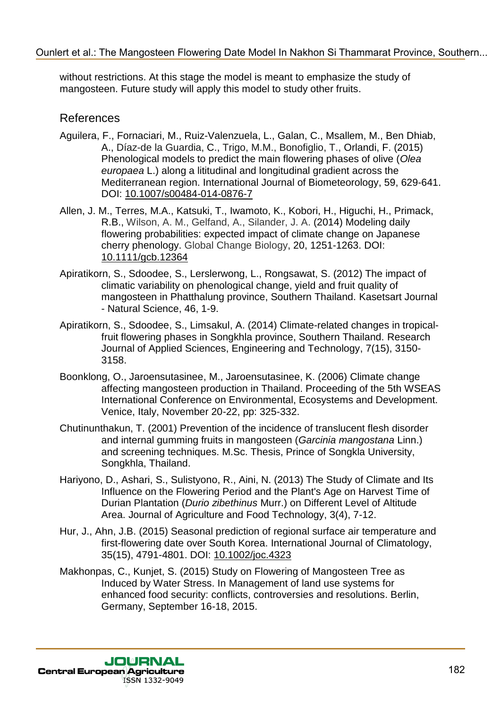without restrictions. At this stage the model is meant to emphasize the study of mangosteen. Future study will apply this model to study other fruits.

# References

- Aguilera, F., Fornaciari, M., Ruiz-Valenzuela, L., Galan, C., Msallem, M., Ben Dhiab, A., Díaz-de la Guardia, C., Trigo, M.M., Bonofiglio, T., Orlandi, F. (2015) Phenological models to predict the main flowering phases of olive (*Olea europaea* L.) along a lititudinal and longitudinal gradient across the Mediterranean region. International Journal of Biometeorology, 59, 629-641. DOI: 10.1007/s00484-014-0876-7 Ouriert et al.: The Mangosteen Flowering Date Model In Nakhon Si Thammarat Province, Southern.<br>
microstophe Turk as stop the model is meant to emphasize the study of<br>
Angulern. F., Formoloxí, M., Puiz-Valeraziela. L., Gala
	- Allen, J. M., Terres, M.A., Katsuki, T., Iwamoto, K., Kobori, H., Higuchi, H., Primack, R.B., Wilson, A. M., Gelfand, A., Silander, J. A. (2014) Modeling daily flowering probabilities: expected impact of climate change on Japanese cherry phenology. Global Change Biology, 20, 1251-1263. DOI: 10.1111/gcb.12364
	- Apiratikorn, S., Sdoodee, S., Lerslerwong, L., Rongsawat, S. (2012) The impact of climatic variability on phenological change, yield and fruit quality of mangosteen in Phatthalung province, Southern Thailand. Kasetsart Journal - Natural Science, 46, 1-9.
	- Apiratikorn, S., Sdoodee, S., Limsakul, A. (2014) Climate-related changes in tropicalfruit flowering phases in Songkhla province, Southern Thailand. Research Journal of Applied Sciences, Engineering and Technology, 7(15), 3150- 3158.
	- Boonklong, O., Jaroensutasinee, M., Jaroensutasinee, K. (2006) Climate change affecting mangosteen production in Thailand. Proceeding of the 5th WSEAS International Conference on Environmental, Ecosystems and Development. Venice, Italy, November 20-22, pp: 325-332.
	- Chutinunthakun, T. (2001) Prevention of the incidence of translucent flesh disorder and internal gumming fruits in mangosteen (*Garcinia mangostana* Linn.) and screening techniques. M.Sc. Thesis, Prince of Songkla University, Songkhla, Thailand.
	- Hariyono, D., Ashari, S., Sulistyono, R., Aini, N. (2013) The Study of Climate and Its Influence on the Flowering Period and the Plant's Age on Harvest Time of Durian Plantation (*Durio zibethinus* Murr.) on Different Level of Altitude Area. Journal of Agriculture and Food Technology, 3(4), 7-12.
	- Hur, J., Ahn, J.B. (2015) Seasonal prediction of regional surface air temperature and first-flowering date over South Korea. International Journal of Climatology, 35(15), 4791-4801. DOI: 10.1002/joc.4323
	- Makhonpas, C., Kunjet, S. (2015) Study on Flowering of Mangosteen Tree as Induced by Water Stress. In Management of land use systems for enhanced food security: conflicts, controversies and resolutions. Berlin, Germany, September 16-18, 2015.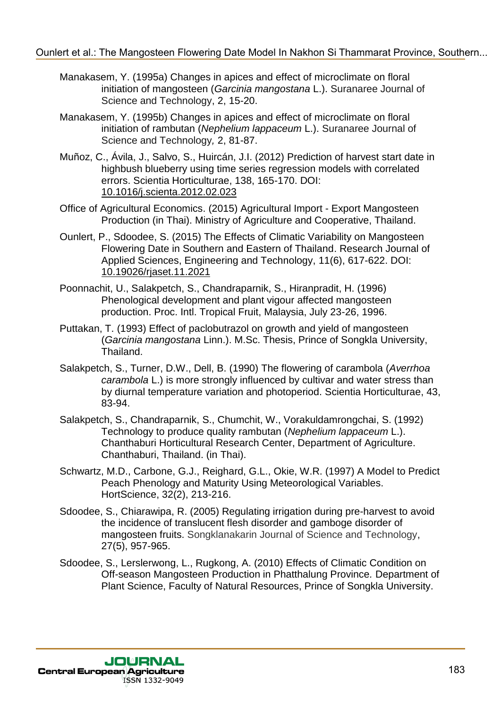#### [Ounlert et al.: The Mangosteen Flowering Date Model In Nakhon Si Thammarat Province, Southern...](http://jcea.agr.hr/volumes.php?search=Article%3A1876)

- Manakasem, Y. (1995a) Changes in apices and effect of microclimate on floral initiation of mangosteen (*Garcinia mangostana* L.). Suranaree Journal of Science and Technology, 2, 15-20.
- Manakasem, Y. (1995b) Changes in apices and effect of microclimate on floral initiation of rambutan (*Nephelium lappaceum* L.). Suranaree Journal of Science and Technology*,* 2, 81-87.
- Muñoz, C., Ávila, J., Salvo, S., Huircán, J.I. (2012) Prediction of harvest start date in highbush blueberry using time series regression models with correlated errors. Scientia Horticulturae, 138, 165-170. DOI: 10.1016/j.scienta.2012.02.023
- Office of Agricultural Economics. (2015) Agricultural Import Export Mangosteen Production (in Thai). Ministry of Agriculture and Cooperative, Thailand.
- Ounlert, P., Sdoodee, S. (2015) The Effects of Climatic Variability on Mangosteen Flowering Date in Southern and Eastern of Thailand. Research Journal of Applied Sciences, Engineering and Technology, 11(6), 617-622. DOI: 10.19026/rjaset.11.2021
- Poonnachit, U., Salakpetch, S., Chandraparnik, S., Hiranpradit, H. (1996) Phenological development and plant vigour affected mangosteen production. Proc. Intl. Tropical Fruit, Malaysia, July 23-26, 1996.
- Puttakan, T. (1993) Effect of paclobutrazol on growth and yield of mangosteen (*Garcinia mangostana* Linn.). M.Sc. Thesis, Prince of Songkla University, Thailand.
- Salakpetch, S., Turner, D.W., Dell, B. (1990) The flowering of carambola (*Averrhoa carambola* L.) is more strongly influenced by cultivar and water stress than by diurnal temperature variation and photoperiod. Scientia Horticulturae, 43, 83-94.
- Salakpetch, S., Chandraparnik, S., Chumchit, W., Vorakuldamrongchai, S. (1992) Technology to produce quality rambutan (*Nephelium lappaceum* L.). Chanthaburi Horticultural Research Center, Department of Agriculture. Chanthaburi, Thailand. (in Thai).
- Schwartz, M.D., Carbone, G.J., Reighard, G.L., Okie, W.R. (1997) A Model to Predict Peach Phenology and Maturity Using Meteorological Variables. HortScience, 32(2), 213-216.
- Sdoodee, S., Chiarawipa, R. (2005) Regulating irrigation during pre-harvest to avoid the incidence of translucent flesh disorder and gamboge disorder of mangosteen fruits. Songklanakarin Journal of Science and Technology, 27(5), 957-965. 00mlert et al.: "The Mangosteen Flowering Date Model In Nakhon Si Thammarat Province, Southern.<br>
Manakhon Army Y. (1985s) Changos in periods and effect of microlaristic Sidence of Theories of the Mangoster Changoster Chang
	- Sdoodee, S., Lerslerwong, L., Rugkong, A. (2010) Effects of Climatic Condition on Off-season Mangosteen Production in Phatthalung Province*.* Department of Plant Science, Faculty of Natural Resources, Prince of Songkla University.